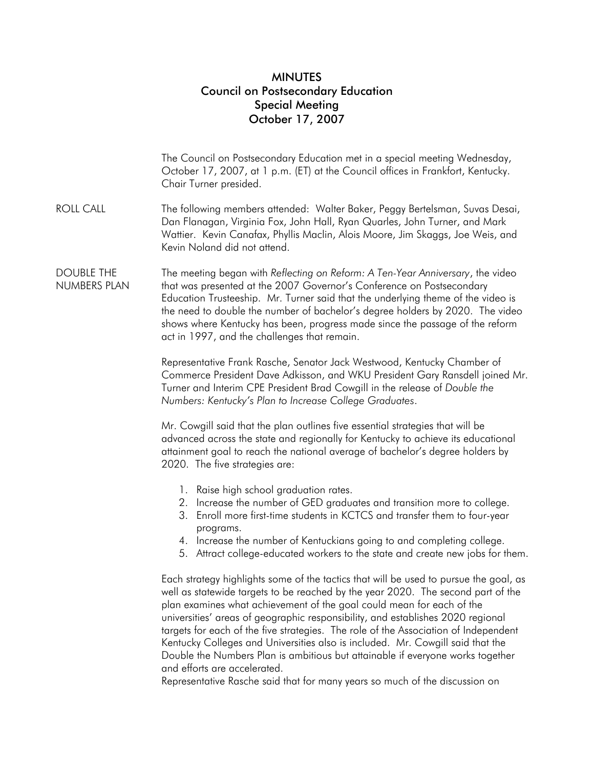## MINUTES Council on Postsecondary Education Special Meeting October 17, 2007

|                                   | The Council on Postsecondary Education met in a special meeting Wednesday,<br>October 17, 2007, at 1 p.m. (ET) at the Council offices in Frankfort, Kentucky.<br>Chair Turner presided.                                                                                                                                                                                                                                                                                                                                                                                                                                          |
|-----------------------------------|----------------------------------------------------------------------------------------------------------------------------------------------------------------------------------------------------------------------------------------------------------------------------------------------------------------------------------------------------------------------------------------------------------------------------------------------------------------------------------------------------------------------------------------------------------------------------------------------------------------------------------|
| <b>ROLL CALL</b>                  | The following members attended: Walter Baker, Peggy Bertelsman, Suvas Desai,<br>Dan Flanagan, Virginia Fox, John Hall, Ryan Quarles, John Turner, and Mark<br>Wattier. Kevin Canafax, Phyllis Maclin, Alois Moore, Jim Skaggs, Joe Weis, and<br>Kevin Noland did not attend.                                                                                                                                                                                                                                                                                                                                                     |
| <b>DOUBLE THE</b><br>NUMBERS PLAN | The meeting began with Reflecting on Reform: A Ten-Year Anniversary, the video<br>that was presented at the 2007 Governor's Conference on Postsecondary<br>Education Trusteeship. Mr. Turner said that the underlying theme of the video is<br>the need to double the number of bachelor's degree holders by 2020. The video<br>shows where Kentucky has been, progress made since the passage of the reform<br>act in 1997, and the challenges that remain.                                                                                                                                                                     |
|                                   | Representative Frank Rasche, Senator Jack Westwood, Kentucky Chamber of<br>Commerce President Dave Adkisson, and WKU President Gary Ransdell joined Mr.<br>Turner and Interim CPE President Brad Cowgill in the release of Double the<br>Numbers: Kentucky's Plan to Increase College Graduates.                                                                                                                                                                                                                                                                                                                                 |
|                                   | Mr. Cowgill said that the plan outlines five essential strategies that will be<br>advanced across the state and regionally for Kentucky to achieve its educational<br>attainment goal to reach the national average of bachelor's degree holders by<br>2020. The five strategies are:                                                                                                                                                                                                                                                                                                                                            |
|                                   | 1. Raise high school graduation rates.<br>2. Increase the number of GED graduates and transition more to college.<br>3. Enroll more first-time students in KCTCS and transfer them to four-year<br>programs.<br>4. Increase the number of Kentuckians going to and completing college.<br>5. Attract college-educated workers to the state and create new jobs for them.                                                                                                                                                                                                                                                         |
|                                   | Each strategy highlights some of the tactics that will be used to pursue the goal, as<br>well as statewide targets to be reached by the year 2020. The second part of the<br>plan examines what achievement of the goal could mean for each of the<br>universities' areas of geographic responsibility, and establishes 2020 regional<br>targets for each of the five strategies. The role of the Association of Independent<br>Kentucky Colleges and Universities also is included. Mr. Cowgill said that the<br>Double the Numbers Plan is ambitious but attainable if everyone works together<br>and efforts are accelerated. |

Representative Rasche said that for many years so much of the discussion on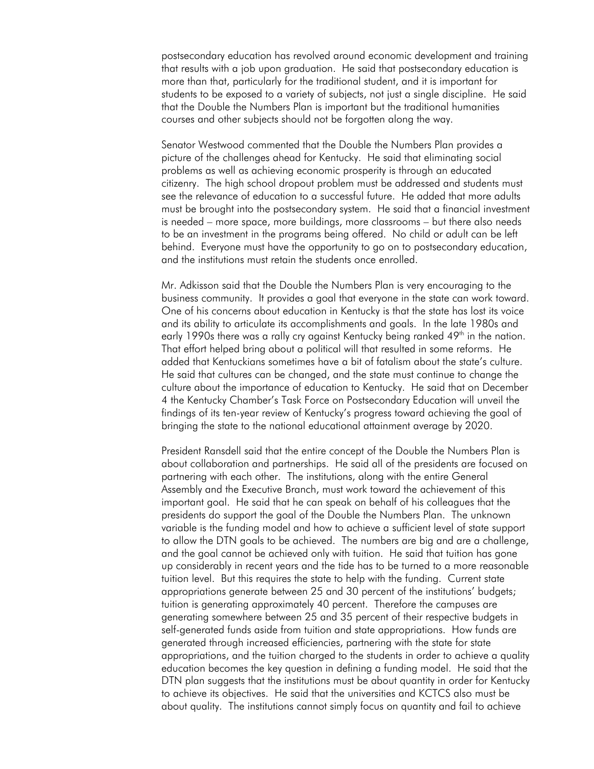postsecondary education has revolved around economic development and training that results with a job upon graduation. He said that postsecondary education is more than that, particularly for the traditional student, and it is important for students to be exposed to a variety of subjects, not just a single discipline. He said that the Double the Numbers Plan is important but the traditional humanities courses and other subjects should not be forgotten along the way.

Senator Westwood commented that the Double the Numbers Plan provides a picture of the challenges ahead for Kentucky. He said that eliminating social problems as well as achieving economic prosperity is through an educated citizenry. The high school dropout problem must be addressed and students must see the relevance of education to a successful future. He added that more adults must be brought into the postsecondary system. He said that a financial investment is needed – more space, more buildings, more classrooms – but there also needs to be an investment in the programs being offered. No child or adult can be left behind. Everyone must have the opportunity to go on to postsecondary education, and the institutions must retain the students once enrolled.

Mr. Adkisson said that the Double the Numbers Plan is very encouraging to the business community. It provides a goal that everyone in the state can work toward. One of his concerns about education in Kentucky is that the state has lost its voice and its ability to articulate its accomplishments and goals. In the late 1980s and early 1990s there was a rally cry against Kentucky being ranked 49<sup>th</sup> in the nation. That effort helped bring about a political will that resulted in some reforms. He added that Kentuckians sometimes have a bit of fatalism about the state's culture. He said that cultures can be changed, and the state must continue to change the culture about the importance of education to Kentucky. He said that on December 4 the Kentucky Chamber's Task Force on Postsecondary Education will unveil the findings of its ten-year review of Kentucky's progress toward achieving the goal of bringing the state to the national educational attainment average by 2020.

President Ransdell said that the entire concept of the Double the Numbers Plan is about collaboration and partnerships. He said all of the presidents are focused on partnering with each other. The institutions, along with the entire General Assembly and the Executive Branch, must work toward the achievement of this important goal. He said that he can speak on behalf of his colleagues that the presidents do support the goal of the Double the Numbers Plan. The unknown variable is the funding model and how to achieve a sufficient level of state support to allow the DTN goals to be achieved. The numbers are big and are a challenge, and the goal cannot be achieved only with tuition. He said that tuition has gone up considerably in recent years and the tide has to be turned to a more reasonable tuition level. But this requires the state to help with the funding. Current state appropriations generate between 25 and 30 percent of the institutions' budgets; tuition is generating approximately 40 percent. Therefore the campuses are generating somewhere between 25 and 35 percent of their respective budgets in self-generated funds aside from tuition and state appropriations. How funds are generated through increased efficiencies, partnering with the state for state appropriations, and the tuition charged to the students in order to achieve a quality education becomes the key question in defining a funding model. He said that the DTN plan suggests that the institutions must be about quantity in order for Kentucky to achieve its objectives. He said that the universities and KCTCS also must be about quality. The institutions cannot simply focus on quantity and fail to achieve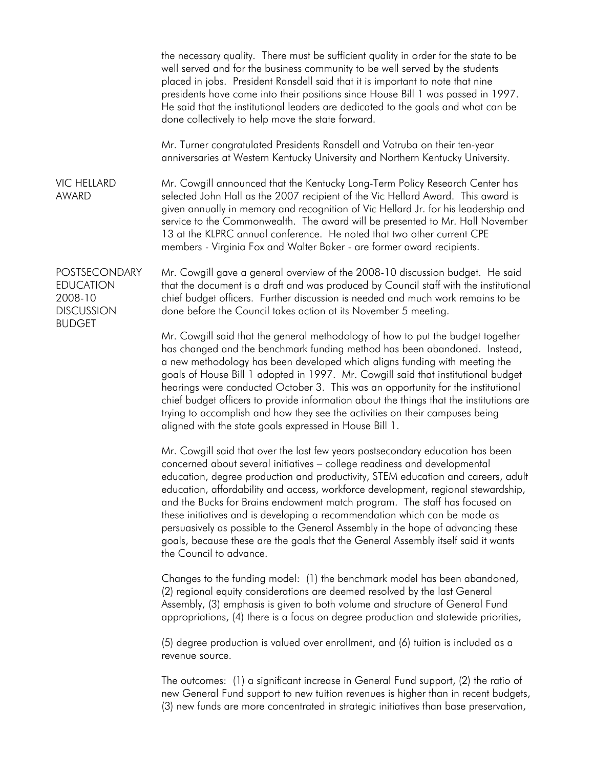the necessary quality. There must be sufficient quality in order for the state to be well served and for the business community to be well served by the students placed in jobs. President Ransdell said that it is important to note that nine presidents have come into their positions since House Bill 1 was passed in 1997. He said that the institutional leaders are dedicated to the goals and what can be done collectively to help move the state forward.

Mr. Turner congratulated Presidents Ransdell and Votruba on their ten-year anniversaries at Western Kentucky University and Northern Kentucky University.

VIC HELLARD AWARD Mr. Cowgill announced that the Kentucky Long-Term Policy Research Center has selected John Hall as the 2007 recipient of the Vic Hellard Award. This award is given annually in memory and recognition of Vic Hellard Jr. for his leadership and service to the Commonwealth. The award will be presented to Mr. Hall November 13 at the KLPRC annual conference. He noted that two other current CPE members - Virginia Fox and Walter Baker - are former award recipients.

EDUCATION 2008-10 DISCUSSION Mr. Cowgill gave a general overview of the 2008-10 discussion budget. He said that the document is a draft and was produced by Council staff with the institutional chief budget officers. Further discussion is needed and much work remains to be done before the Council takes action at its November 5 meeting.

> Mr. Cowgill said that the general methodology of how to put the budget together has changed and the benchmark funding method has been abandoned. Instead, a new methodology has been developed which aligns funding with meeting the goals of House Bill 1 adopted in 1997. Mr. Cowgill said that institutional budget hearings were conducted October 3. This was an opportunity for the institutional chief budget officers to provide information about the things that the institutions are trying to accomplish and how they see the activities on their campuses being aligned with the state goals expressed in House Bill 1.

> Mr. Cowgill said that over the last few years postsecondary education has been concerned about several initiatives – college readiness and developmental education, degree production and productivity, STEM education and careers, adult education, affordability and access, workforce development, regional stewardship, and the Bucks for Brains endowment match program. The staff has focused on these initiatives and is developing a recommendation which can be made as persuasively as possible to the General Assembly in the hope of advancing these goals, because these are the goals that the General Assembly itself said it wants the Council to advance.

Changes to the funding model: (1) the benchmark model has been abandoned, (2) regional equity considerations are deemed resolved by the last General Assembly, (3) emphasis is given to both volume and structure of General Fund appropriations, (4) there is a focus on degree production and statewide priorities,

(5) degree production is valued over enrollment, and (6) tuition is included as a revenue source.

The outcomes: (1) a significant increase in General Fund support, (2) the ratio of new General Fund support to new tuition revenues is higher than in recent budgets, (3) new funds are more concentrated in strategic initiatives than base preservation,

POSTSECONDARY **BUDGET**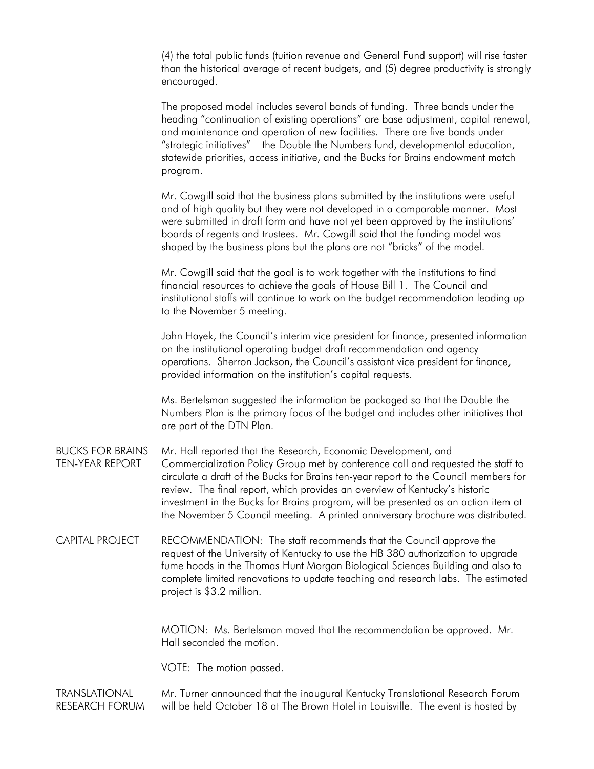(4) the total public funds (tuition revenue and General Fund support) will rise faster than the historical average of recent budgets, and (5) degree productivity is strongly encouraged.

The proposed model includes several bands of funding. Three bands under the heading "continuation of existing operations" are base adjustment, capital renewal, and maintenance and operation of new facilities. There are five bands under "strategic initiatives" – the Double the Numbers fund, developmental education, statewide priorities, access initiative, and the Bucks for Brains endowment match program.

Mr. Cowgill said that the business plans submitted by the institutions were useful and of high quality but they were not developed in a comparable manner. Most were submitted in draft form and have not yet been approved by the institutions' boards of regents and trustees. Mr. Cowgill said that the funding model was shaped by the business plans but the plans are not "bricks" of the model.

Mr. Cowgill said that the goal is to work together with the institutions to find financial resources to achieve the goals of House Bill 1. The Council and institutional staffs will continue to work on the budget recommendation leading up to the November 5 meeting.

John Hayek, the Council's interim vice president for finance, presented information on the institutional operating budget draft recommendation and agency operations. Sherron Jackson, the Council's assistant vice president for finance, provided information on the institution's capital requests.

Ms. Bertelsman suggested the information be packaged so that the Double the Numbers Plan is the primary focus of the budget and includes other initiatives that are part of the DTN Plan.

BUCKS FOR BRAINS TEN-YEAR REPORT Mr. Hall reported that the Research, Economic Development, and Commercialization Policy Group met by conference call and requested the staff to circulate a draft of the Bucks for Brains ten-year report to the Council members for review. The final report, which provides an overview of Kentucky's historic investment in the Bucks for Brains program, will be presented as an action item at the November 5 Council meeting. A printed anniversary brochure was distributed.

CAPITAL PROJECT RECOMMENDATION: The staff recommends that the Council approve the request of the University of Kentucky to use the HB 380 authorization to upgrade fume hoods in the Thomas Hunt Morgan Biological Sciences Building and also to complete limited renovations to update teaching and research labs. The estimated project is \$3.2 million.

> MOTION: Ms. Bertelsman moved that the recommendation be approved. Mr. Hall seconded the motion.

VOTE: The motion passed.

TRANSLATIONAL RESEARCH FORUM Mr. Turner announced that the inaugural Kentucky Translational Research Forum will be held October 18 at The Brown Hotel in Louisville. The event is hosted by